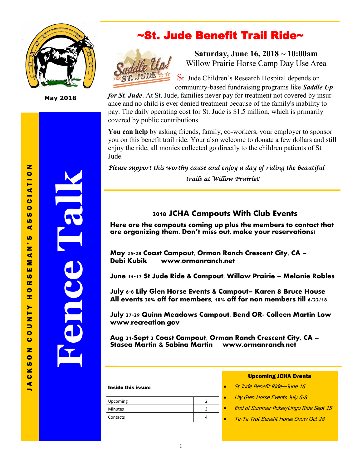

**May 2018**

# ~St. Jude Benefit Trail Ride~



**Saturday, June 16, 2018 ~ 10:00am** Willow Prairie Horse Camp Day Use Area

St. Jude Children's Research Hospital depends on community-based fundraising programs like *Saddle Up* 

*for St. Jude*. At St. Jude, families never pay for treatment not covered by insurance and no child is ever denied treatment because of the family's inability to pay. The daily operating cost for St. Jude is \$1.5 million, which is primarily covered by public contributions.

**You can help** by asking friends, family, co-workers, your employer to sponsor you on this benefit trail ride. Your also welcome to donate a few dollars and still enjoy the ride, all monies collected go directly to the children patients of St Jude.

*Please support this worthy cause and enjoy a day of riding the beautiful trails at Willow Prairie!!* 

# **2018 JCHA Campouts With Club Events**

**Here are the campouts coming up plus the members to contact that are organizing them. Don't miss out, make your reservations!** 

**May 25-28 Coast Campout, Orman Ranch Crescent City, CA –** www.ormanranch.net

**June 15-17 St Jude Ride & Campout, Willow Prairie – Melonie Robles**

**July 6-8 Lily Glen Horse Events & Campout– Karen & Bruce House All events 20% off for members, 10% off for non members till 6/22/18**

**July 27-29 Quinn Meadows Campout, Bend OR- Colleen Martin Low www.recreation.gov**

**Aug 31-Sept 3 Coast Campout, Orman Ranch Crescent City, CA – Stasea Martin & Sabina Martin** 

#### Inside this issue:

| Upcoming       |  |
|----------------|--|
| <b>Minutes</b> |  |
| Contacts       |  |
|                |  |

#### Upcoming JCHA Events

- St Jude Benefit Ride—June 16
- Lily Glen Horse Events July 6-8
- End of Summer Poker/Lingo Ride Sept 15
- Ta-Ta Trot Benefit Horse Show Oct 28

 $\blacksquare$ 

**Fence Talk**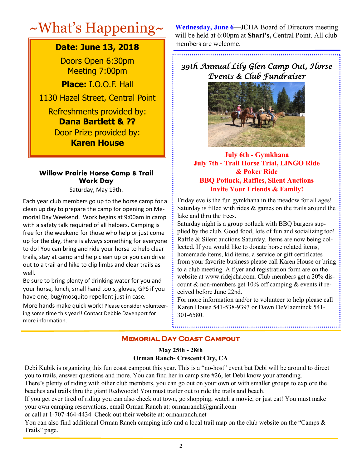# **Date: June 13, 2018**

Doors Open 6:30pm Meeting 7:00pm

**Place:** I.O.O.F. Hall

1130 Hazel Street, Central Point

Refreshments provided by: **Dana Bartlett & ??**

Door Prize provided by: **Karen House**

### **Willow Prairie Horse Camp & Trail Work Day**

Saturday, May 19th.

Each year club members go up to the horse camp for a clean up day to prepare the camp for opening on Memorial Day Weekend. Work begins at 9:00am in camp with a safety talk required of all helpers. Camping is free for the weekend for those who help or just come up for the day, there is always something for everyone to do! You can bring and ride your horse to help clear trails, stay at camp and help clean up or you can drive out to a trail and hike to clip limbs and clear trails as well.

Be sure to bring plenty of drinking water for you and your horse, lunch, small hand tools, gloves, GPS if you have one, bug/mosquito repellent just in case.

More hands make quick work! Please consider volunteering some time this year!! Contact Debbie Davenport for more information.

~What's Happening~ **Wednesday, June 6**—JCHA Board of Directors meeting will be held at 6:00pm at **Shari's,** Central Point. All club members are welcome.

> *39th Annual Lily Glen Camp Out, Horse Events & Club Fundraiser*



## **July 6th - Gymkhana July 7th - Trail Horse Trial, LINGO Ride & Poker Ride BBQ Potluck, Raffles, Silent Auctions Invite Your Friends & Family!**

Friday eve is the fun gymkhana in the meadow for all ages! Saturday is filled with rides  $\&$  games on the trails around the lake and thru the trees.

Saturday night is a group potluck with BBQ burgers supplied by the club. Good food, lots of fun and socializing too! Raffle & Silent auctions Saturday. Items are now being collected. If you would like to donate horse related items, homemade items, kid items, a service or gift certificates from your favorite business please call Karen House or bring to a club meeting. A flyer and registration form are on the website at www.ridejcha.com. Club members get a 20% discount  $&$  non-members get 10% off camping  $&$  events if received before June 22nd.

For more information and/or to volunteer to help please call Karen House 541-538-9393 or Dawn DeVlaeminck 541- 301-6580.

# **Memorial Day Coast Campout**

# **May 25th - 28th Orman Ranch- Crescent City, CA**

Debi Kubik is organizing this fun coast campout this year. This is a "no-host" event but Debi will be around to direct you to trails, answer questions and more. You can find her in camp site #26, let Debi know your attending.

There's plenty of riding with other club members, you can go out on your own or with smaller groups to explore the beaches and trails thru the giant Redwoods! You must trailer out to ride the trails and beach.

If you get ever tired of riding you can also check out town, go shopping, watch a movie, or just eat! You must make your own camping reservations, email Orman Ranch at: ormanranch@gmail.com

or call at 1-707-464-4434 Check out their website at: ormanranch.net

You can also find additional Orman Ranch camping info and a local trail map on the club website on the "Camps & Trails" page.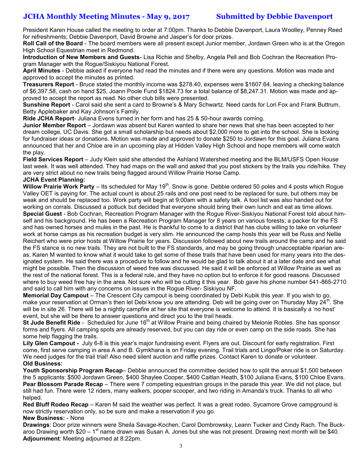President Karen House called the meeting to order at 7:00pm. Thanks to Debbie Davenport, Laura Woolley, Penney Reed for refreshments; Debbie Davenport, David Browne and Jasper's for door prizes.

**Roll Call of the Board** - The board members were all present except Junior member, Jordawn Green who is at the Oregon High School Equestrian meet in Redmond.

**Introduction of New Members and Guests**- Lisa Richie and Shelby, Angela Pell and Bob Cochran the Recreation Program Manager with the Rogue/Siskiyou National Forest.

**April Minutes** - Debbie asked if everyone had read the minutes and if there were any questions. Motion was made and approved to accept the minutes as printed.

**Treasurers Report** - Bruce stated the monthly income was \$278.40, expenses were \$1607.64, leaving a checking balance of \$6,397.58, cash on hand \$25, Joann Poole Fund \$1824.73 for a total balance of \$8,247.31. Motion was made and approved to accept the report as read. No other club bills were presented.

**Sunshine Report** - Carol said she sent a card to Browne's & Mary Schwartz. Need cards for Lori Fox and Frank Buttrum, Betty Applebaker and Kay Johnson's Family.

**Ride JCHA Report**- Juliana Evens turned in her form and has 25 & 50-hour awards coming.

**Junior Member Report** – Jordawn was absent but Karen wanted to share her news that she has been accepted to her dream college, UC Davis. She got a small scholarship but needs about \$2,000 more to get into the school. She is looking for fundraiser ideas or donations. Motion was made and approved to donate \$250 to Jordawn for this goal. Juliana Evans announced that her and Chloe are in an upcoming play at Hidden Valley High School and hope members will come watch the play.

**Field Services Report** – Judy Klein said she attended the Ashland Watershed meeting and the BLM/USFS Open House last week. It was well attended. They had maps on the wall and asked that you post stickers by the trails you ride/hike. They are very strict about no new trails being flagged around Willow Prairie Horse Camp.

#### **JCHA Event Planning:**

Willow Prairie Work Party – Its scheduled for May 19<sup>th</sup>. Snow is gone. Debbie ordered 50 poles and 4 posts which Rogue Valley OET is paying for. The actual count is about 25 rails and one post need to be replaced for sure, but others may be weak and should be replaced too. Work party will begin at 9:00am with a safety talk. A tool list was also handed out for working on corrals. Discussed a potluck but decided that everyone should bring their own lunch and eat as time allows. **Special Guest** - Bob Cochran, Recreation Program Manager with the Rogue River-Siskiyou National Forest told about himself and his background. He has been a Recreation Program Manager for 8 years on various forests; a packer for the FS and has owned horses and mules in the past. He is thankful to come to a district that has clubs willing to take on volunteer work at horse camps as his recreation budget is very slim. He announced the camp hosts this year will be Russ and Nellie Reichert who were prior hosts at Willow Prairie for years. Discussion followed about new trails around the camp and he said the FS stance is no new trails. They are not built to the FS standards, and may be going through unacceptable riparian areas. Karen M wanted to know what it would take to get some of these trails that have been used for many years into the designated system. He said there was a procedure to follow and he would be glad to talk about it at a later date and see what might be possible. Then the discussion of weed free was discussed. He said it will be enforced at Willow Prairie as well as the rest of the national forest. This is a federal rule, and they have no option but to enforce it for good reasons. Discussed where to buy weed free hay in the area. Not sure who will be cutting it this year. Bob gave his phone number 541-865-2710 and said to call him with any concerns on issues in the Rogue River- Siskiyou NF.

**Memorial Day Campout** – The Crescent City campout is being coordinated by Debi Kubik this year. If you wish to go, make your reservation at Orman's then let Debi know you are attending. Deb will be going over on Thursday May 24<sup>th</sup>. She will be in site 26. There will be a nightly campfire at her site that everyone is welcome to attend. It is basically a 'no host' event, but she will be there to answer questions and direct you to the trail heads.

**St Jude Benefit Ride** - Scheduled for June 16<sup>th</sup> at Willow Prairie and being chaired by Melonie Robles. She has sponsor forms and flyers. All camping spots are already reserved, but you can day ride or even camp on the side roads. She has some help flagging the trails.

**Lily Glen Campout -** July 6-8 is this year's major fundraising event. Flyers are out. Discount for early registration. First come, first serve camping in area A and B. Gymkhana is on Friday evening. Trail trials and Lingo/Poker ride is on Saturday. We need judges for the trail trial! Also need silent auction and raffle prizes. Contact Karen to donate or volunteer. **Old Business:**

**Youth Sponsorship Program Recap**– Debbie announced the committee decided how to split the annual \$1,500 between the 5 applicants: \$500 Jordawn Green, \$400 Shaylee Cooper, \$400 Caitlan Heath, \$100 Juliana Evans, \$100 Chloe Evans. **Pear Blossom Parade Recap** – There were 7 competing equestrian groups in the parade this year. We did not place, but still had fun. There were 12 riders, many walkers, pooper scooper, and two riding in Amanda's truck. Thanks to all who helped.

**Red Bluff Rodeo Recap** – Karen M said the weather was perfect. It was a great rodeo. Sycamore Grove campground is now strictly reservation only, so be sure and make a reservation if you go.

#### **New Business:** - None

**Drawings**: Door prize winners were Sheila Savage-Kochen, Carol Dombrowsky, Leann Tucker and Cindy Rach. The Buckaroo Drawing worth \$20 – 1<sup>st</sup> name drawn was Susan A. Jones but she was not present. Drawing next month will be \$40. **Adjournment**: Meeting adjourned at 8:22pm.